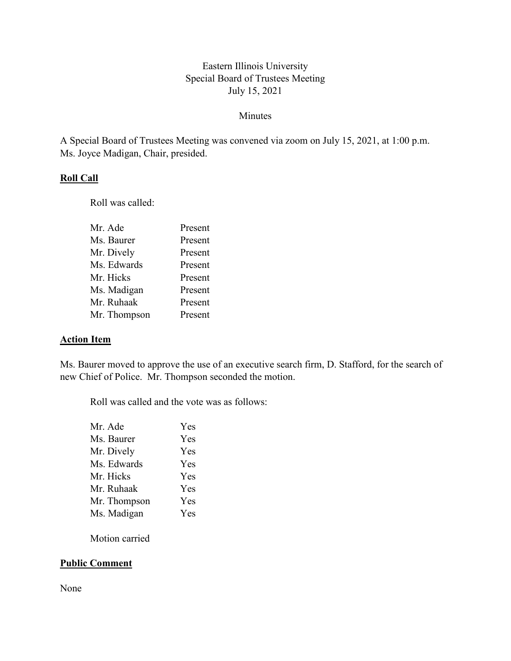# Eastern Illinois University Special Board of Trustees Meeting July 15, 2021

#### Minutes

A Special Board of Trustees Meeting was convened via zoom on July 15, 2021, at 1:00 p.m. Ms. Joyce Madigan, Chair, presided.

### **Roll Call**

Roll was called:

| Mr. Ade      | Present |
|--------------|---------|
| Ms. Baurer   | Present |
| Mr. Dively   | Present |
| Ms. Edwards  | Present |
| Mr. Hicks    | Present |
| Ms. Madigan  | Present |
| Mr. Ruhaak   | Present |
| Mr. Thompson | Present |
|              |         |

#### **Action Item**

Ms. Baurer moved to approve the use of an executive search firm, D. Stafford, for the search of new Chief of Police. Mr. Thompson seconded the motion.

Roll was called and the vote was as follows:

| Mr. Ade      | Yes |
|--------------|-----|
| Ms. Baurer   | Yes |
| Mr. Dively   | Yes |
| Ms. Edwards  | Yes |
| Mr. Hicks    | Yes |
| Mr. Ruhaak   | Yes |
| Mr. Thompson | Yes |
| Ms. Madigan  | Yes |
|              |     |

Motion carried

# **Public Comment**

None